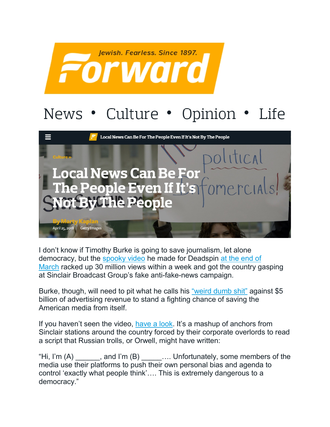

## News • Culture • Opinion • Life



I don't know if Timothy Burke is going to save journalism, let alone democracy, but the [spooky video](https://deadspin.com/how-i-made-a-dumb-video-making-fun-of-sinclair-broadcas-1825106452) he made for Deadspin [at the end of](https://theconcourse.deadspin.com/how-americas-largest-local-tv-owner-turned-its-news-anc-1824233490)  [March](https://theconcourse.deadspin.com/how-americas-largest-local-tv-owner-turned-its-news-anc-1824233490) racked up 30 million views within a week and got the country gasping at Sinclair Broadcast Group's fake anti-fake-news campaign.

Burke, though, will need to pit what he calls his ["weird dumb shit"](https://deadspin.com/how-i-made-a-dumb-video-making-fun-of-sinclair-broadcas-1825106452) against \$5 billion of advertising revenue to stand a fighting chance of saving the American media from itself.

If you haven't seen the video, [have a look.](https://www.nytimes.com/2018/04/02/business/media/sinclair-news-anchors-script.html) It's a mashup of anchors from Sinclair stations around the country forced by their corporate overlords to read a script that Russian trolls, or Orwell, might have written:

"Hi, I'm (A) \_\_\_\_\_\_, and I'm (B) \_\_\_\_\_.... Unfortunately, some members of the media use their platforms to push their own personal bias and agenda to control 'exactly what people think'…. This is extremely dangerous to a democracy."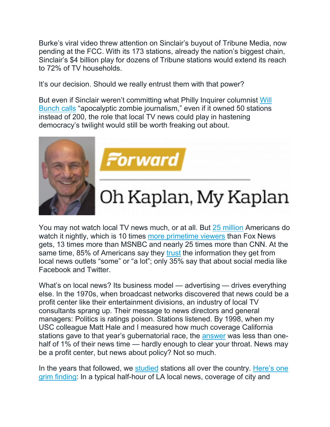Burke's viral video threw attention on Sinclair's buyout of Tribune Media, now pending at the FCC. With its 173 stations, already the nation's biggest chain, Sinclair's \$4 billion play for dozens of Tribune stations would extend its reach to 72% of TV households.

It's our decision. Should we really entrust them with that power?

But even if Sinclair weren't committing what Philly Inquirer columnist [Will](http://www.philly.com/philly/columnists/will_bunch/stop-sinclair-broadcast-group-philadelpia-phl17-tribune-merger-20180412.html)  [Bunch calls](http://www.philly.com/philly/columnists/will_bunch/stop-sinclair-broadcast-group-philadelpia-phl17-tribune-merger-20180412.html) "apocalyptic zombie journalism," even if it owned 50 stations instead of 200, the role that local TV news could play in hastening democracy's twilight would still be worth freaking out about.



Forward

## Oh Kaplan, My Kaplan

You may not watch local TV news much, or at all. But [25 million](https://www.usatoday.com/story/opinion/2018/04/03/sinclair-danger-not-trumpian-script-but-owning-too-many-tv-stations-column/482202002/) Americans do watch it nightly, which is 10 times [more primetime viewers](http://deadline.com/2018/04/fox-news-channel-wins-quarter-ratings-msnbc-grows-double-digits-tv-ratings-1202357538/) than Fox News gets, 13 times more than MSNBC and nearly 25 times more than CNN. At the same time, 85% of Americans say they [trust](http://assets.pewresearch.org/wp-content/uploads/sites/13/2017/05/09125944/PJ_2017.05.10_Media-Attitudes_TOPLINE.pdf) the information they get from local news outlets "some" or "a lot"; only 35% say that about social media like Facebook and Twitter.

What's on local news? Its business model — advertising — drives everything else. In the 1970s, when broadcast networks discovered that news could be a profit center like their entertainment divisions, an industry of local TV consultants sprang up. Their message to news directors and general managers: Politics is ratings poison. Stations listened. By 1998, when my USC colleague Matt Hale and I measured how much coverage California stations gave to that year's gubernatorial race, the [answer](https://learcenter.org/pdf/1998CA.pdf) was less than onehalf of 1% of their news time — hardly enough to clear your throat. News may be a profit center, but news about policy? Not so much.

In the years that followed, we [studied](https://learcenter.org/project/news/pubs/) stations all over the country. Here's one [grim finding:](https://learcenter.org/pdf/LocalNewsRelease.pdf) In a typical half-hour of LA local news, coverage of city and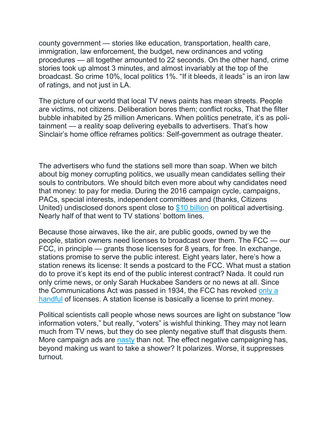county government — stories like education, transportation, health care, immigration, law enforcement, the budget, new ordinances and voting procedures — all together amounted to 22 seconds. On the other hand, crime stories took up almost 3 minutes, and almost invariably at the top of the broadcast. So crime 10%, local politics 1%. "If it bleeds, it leads" is an iron law of ratings, and not just in LA.

The picture of our world that local TV news paints has mean streets. People are victims, not citizens. Deliberation bores them; conflict rocks, That the filter bubble inhabited by 25 million Americans. When politics penetrate, it's as politainment — a reality soap delivering eyeballs to advertisers. That's how Sinclair's home office reframes politics: Self-government as outrage theater.

The advertisers who fund the stations sell more than soap. When we bitch about big money corrupting politics, we usually mean candidates selling their souls to contributors. We should bitch even more about why candidates need that money: to pay for media. During the 2016 campaign cycle, campaigns, PACs, special interests, independent committees and (thanks, Citizens United) undisclosed donors spent close to [\\$10 billion](http://adage.com/article/media/2016-political-broadcast-tv-spend-20-cable-52/307346/) on political advertising. Nearly half of that went to TV stations' bottom lines.

Because those airwaves, like the air, are public goods, owned by we the people, station owners need licenses to broadcast over them. The FCC — our FCC, in principle — grants those licenses for 8 years, for free. In exchange, stations promise to serve the public interest. Eight years later, here's how a station renews its license: It sends a postcard to the FCC. What must a station do to prove it's kept its end of the public interest contract? Nada. It could run only crime news, or only Sarah Huckabee Sanders or no news at all. Since the Communications Act was passed in 1934, the FCC has revoked [only a](http://thehill.com/policy/technology/227039-fcc-unlikely-to-revoke-broadcasting-licenses-for-fox-say-experts)  [handful](http://thehill.com/policy/technology/227039-fcc-unlikely-to-revoke-broadcasting-licenses-for-fox-say-experts) of licenses. A station license is basically a license to print money.

Political scientists call people whose news sources are light on substance "low information voters," but really, "voters" is wishful thinking. They may not learn much from TV news, but they do see plenty negative stuff that disgusts them. More campaign ads are  $n$ asty than not. The effect negative campaigning has, beyond making us want to take a shower? It polarizes. Worse, it suppresses turnout.